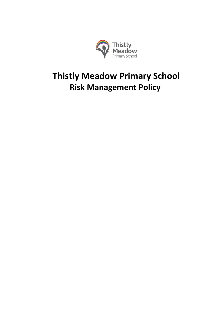

# **Thistly Meadow Primary School Risk Management Policy**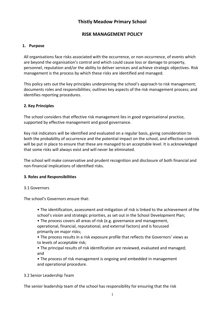# **Thistly Meadow Primary School**

## **RISK MANAGEMENT POLICY**

## **1. Purpose**

All organisations face risks associated with the occurrence, or non-occurrence, of events which are beyond the organisation's control and which could cause loss or damage to property, personnel, reputation and/or the ability to deliver services and achieve strategic objectives. Risk management is the process by which these risks are identified and managed.

This policy sets out the key principles underpinning the school's approach to risk management; documents roles and responsibilities; outlines key aspects of the risk management process; and identifies reporting procedures.

### **2. Key Principles**

The school considers that effective risk management lies in good organisational practice, supported by effective management and good governance.

Key risk indicators will be identified and evaluated on a regular basis, giving consideration to both the probability of occurrence and the potential impact on the school, and effective controls will be put in place to ensure that these are managed to an acceptable level. It is acknowledged that some risks will always exist and will never be eliminated.

The school will make conservative and prudent recognition and disclosure of both financial and non-financial implications of identified risks.

### **3. Roles and Responsibilities**

### 3.1 Governors

The school's Governors ensure that:

• The identification, assessment and mitigation of risk is linked to the achievement of the school's vision and strategic priorities, as set out in the School Development Plan;

• The process covers all areas of risk (e.g. governance and management, operational, financial, reputational, and external factors) and is focussed primarily on major risks;

• The process results in a risk exposure profile that reflects the Governors' views as to levels of acceptable risk;

• The principal results of risk identification are reviewed, evaluated and managed; and

• The process of risk management is ongoing and embedded in management and operational procedure.

### 3.2 Senior Leadership Team

The senior leadership team of the school has responsibility for ensuring that the risk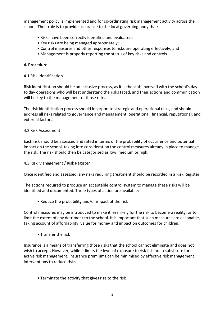management policy is implemented and for co-ordinating risk management activity across the school. Their role is to provide assurance to the local governing body that:

- Risks have been correctly identified and evaluated;
- Key risks are being managed appropriately;
- Control measures and other responses to risks are operating effectively; and
- Management is properly reporting the status of key risks and controls.

#### **4. Procedure**

4.1 Risk Identification

Risk identification should be an inclusive process, as it is the staff involved with the school's day to day operations who will best understand the risks faced, and their actions and communication will be key to the management of those risks.

The risk identification process should incorporate strategic and operational risks, and should address all risks related to governance and management, operational, financial, reputational, and external factors.

#### 4.2 Risk Assessment

Each risk should be assessed and rated in terms of the probability of occurrence and potential impact on the school, taking into consideration the control measures already in place to manage the risk. The risk should then be categorised as low, medium or high.

#### 4.3 Risk Management / Risk Register

Once identified and assessed, any risks requiring treatment should be recorded in a Risk Register.

The actions required to produce an acceptable control system to manage these risks will be identified and documented. Three types of action are available:

• Reduce the probability and/or impact of the risk

Control measures may be introduced to make it less likely for the risk to become a reality, or to limit the extent of any detriment to the school. It is important that such measures are easonable, taking account of affordability, value for money and impact on outcomes for children.

• Transfer the risk

Insurance is a means of transferring those risks that the school cannot eliminate and does not wish to accept. However, while it limits the level of exposure to risk it is not a substitute for active risk management. Insurance premiums can be minimised by effective risk management interventions to reduce risks.

• Terminate the activity that gives rise to the risk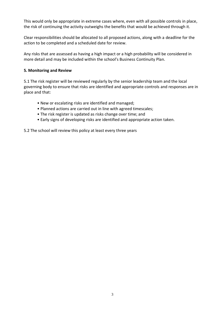This would only be appropriate in extreme cases where, even with all possible controls in place, the risk of continuing the activity outweighs the benefits that would be achieved through it.

Clear responsibilities should be allocated to all proposed actions, along with a deadline for the action to be completed and a scheduled date for review.

Any risks that are assessed as having a high impact or a high probability will be considered in more detail and may be included within the school's Business Continuity Plan.

#### **5. Monitoring and Review**

5.1 The risk register will be reviewed regularly by the senior leadership team and the local governing body to ensure that risks are identified and appropriate controls and responses are in place and that:

- New or escalating risks are identified and managed;
- Planned actions are carried out in line with agreed timescales;
- The risk register is updated as risks change over time; and
- Early signs of developing risks are identified and appropriate action taken.

5.2 The school will review this policy at least every three years